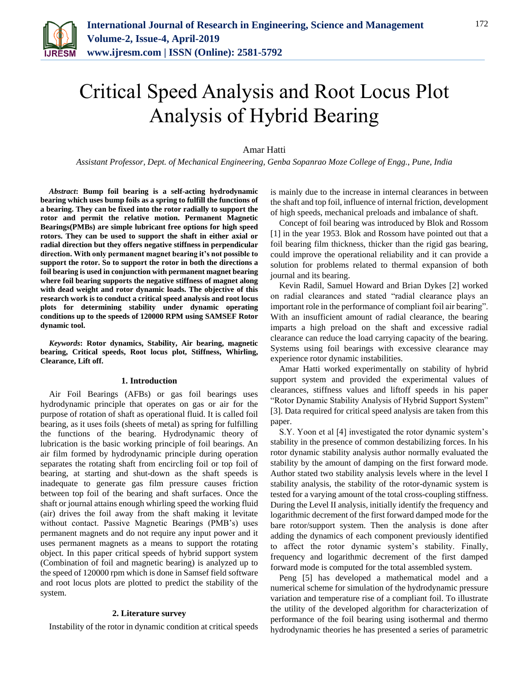

# Critical Speed Analysis and Root Locus Plot Analysis of Hybrid Bearing

## Amar Hatti

*Assistant Professor, Dept. of Mechanical Engineering, Genba Sopanrao Moze College of Engg., Pune, India*

*Abstract***: Bump foil bearing is a self-acting hydrodynamic bearing which uses bump foils as a spring to fulfill the functions of a bearing. They can be fixed into the rotor radially to support the rotor and permit the relative motion. Permanent Magnetic Bearings(PMBs) are simple lubricant free options for high speed rotors. They can be used to support the shaft in either axial or radial direction but they offers negative stiffness in perpendicular direction. With only permanent magnet bearing it's not possible to support the rotor. So to support the rotor in both the directions a foil bearing is used in conjunction with permanent magnet bearing where foil bearing supports the negative stiffness of magnet along with dead weight and rotor dynamic loads. The objective of this research work is to conduct a critical speed analysis and root locus plots for determining stability under dynamic operating conditions up to the speeds of 120000 RPM using SAMSEF Rotor dynamic tool.**

*Keywords***: Rotor dynamics, Stability, Air bearing, magnetic bearing, Critical speeds, Root locus plot, Stiffness, Whirling, Clearance, Lift off.**

#### **1. Introduction**

Air Foil Bearings (AFBs) or gas foil bearings uses hydrodynamic principle that operates on gas or air for the purpose of rotation of shaft as operational fluid. It is called foil bearing, as it uses foils (sheets of metal) as spring for fulfilling the functions of the bearing. Hydrodynamic theory of lubrication is the basic working principle of foil bearings. An air film formed by hydrodynamic principle during operation separates the rotating shaft from encircling foil or top foil of bearing, at starting and shut-down as the shaft speeds is inadequate to generate gas film pressure causes friction between top foil of the bearing and shaft surfaces. Once the shaft or journal attains enough whirling speed the working fluid (air) drives the foil away from the shaft making it levitate without contact. Passive Magnetic Bearings (PMB's) uses permanent magnets and do not require any input power and it uses permanent magnets as a means to support the rotating object. In this paper critical speeds of hybrid support system (Combination of foil and magnetic bearing) is analyzed up to the speed of 120000 rpm which is done in Samsef field software and root locus plots are plotted to predict the stability of the system.

## **2. Literature survey**

Instability of the rotor in dynamic condition at critical speeds

is mainly due to the increase in internal clearances in between the shaft and top foil, influence of internal friction, development of high speeds, mechanical preloads and imbalance of shaft.

Concept of foil bearing was introduced by Blok and Rossom [1] in the year 1953. Blok and Rossom have pointed out that a foil bearing film thickness, thicker than the rigid gas bearing, could improve the operational reliability and it can provide a solution for problems related to thermal expansion of both journal and its bearing.

Kevin Radil, Samuel Howard and Brian Dykes [2] worked on radial clearances and stated "radial clearance plays an important role in the performance of compliant foil air bearing". With an insufficient amount of radial clearance, the bearing imparts a high preload on the shaft and excessive radial clearance can reduce the load carrying capacity of the bearing. Systems using foil bearings with excessive clearance may experience rotor dynamic instabilities.

Amar Hatti worked experimentally on stability of hybrid support system and provided the experimental values of clearances, stiffness values and liftoff speeds in his paper "Rotor Dynamic Stability Analysis of Hybrid Support System" [3]. Data required for critical speed analysis are taken from this paper.

S.Y. Yoon et al [4] investigated the rotor dynamic system's stability in the presence of common destabilizing forces. In his rotor dynamic stability analysis author normally evaluated the stability by the amount of damping on the first forward mode. Author stated two stability analysis levels where in the level I stability analysis, the stability of the rotor-dynamic system is tested for a varying amount of the total cross-coupling stiffness. During the Level II analysis, initially identify the frequency and logarithmic decrement of the first forward damped mode for the bare rotor/support system. Then the analysis is done after adding the dynamics of each component previously identified to affect the rotor dynamic system's stability. Finally, frequency and logarithmic decrement of the first damped forward mode is computed for the total assembled system.

Peng [5] has developed a mathematical model and a numerical scheme for simulation of the hydrodynamic pressure variation and temperature rise of a compliant foil. To illustrate the utility of the developed algorithm for characterization of performance of the foil bearing using isothermal and thermo hydrodynamic theories he has presented a series of parametric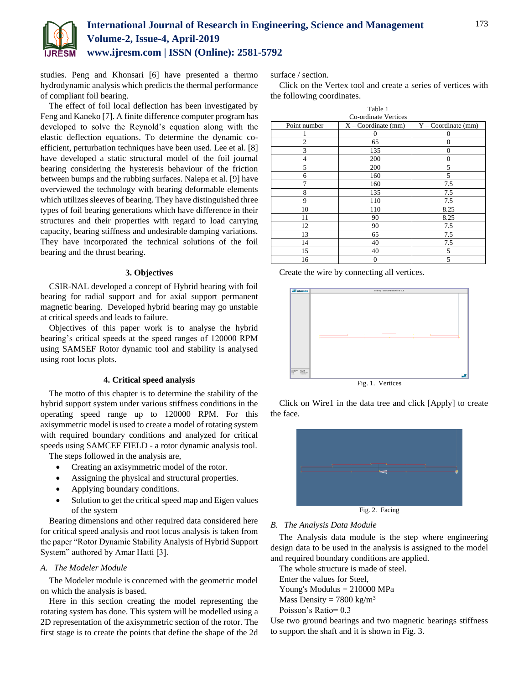

studies. Peng and Khonsari [6] have presented a thermo hydrodynamic analysis which predicts the thermal performance of compliant foil bearing.

The effect of foil local deflection has been investigated by Feng and Kaneko [7]. A finite difference computer program has developed to solve the Reynold's equation along with the elastic deflection equations. To determine the dynamic coefficient, perturbation techniques have been used. Lee et al. [8] have developed a static structural model of the foil journal bearing considering the hysteresis behaviour of the friction between bumps and the rubbing surfaces. Nalepa et al. [9] have overviewed the technology with bearing deformable elements which utilizes sleeves of bearing. They have distinguished three types of foil bearing generations which have difference in their structures and their properties with regard to load carrying capacity, bearing stiffness and undesirable damping variations. They have incorporated the technical solutions of the foil bearing and the thrust bearing.

## **3. Objectives**

CSIR-NAL developed a concept of Hybrid bearing with foil bearing for radial support and for axial support permanent magnetic bearing. Developed hybrid bearing may go unstable at critical speeds and leads to failure.

Objectives of this paper work is to analyse the hybrid bearing's critical speeds at the speed ranges of 120000 RPM using SAMSEF Rotor dynamic tool and stability is analysed using root locus plots.

## **4. Critical speed analysis**

The motto of this chapter is to determine the stability of the hybrid support system under various stiffness conditions in the operating speed range up to 120000 RPM. For this axisymmetric model is used to create a model of rotating system with required boundary conditions and analyzed for critical speeds using SAMCEF FIELD - a rotor dynamic analysis tool.

The steps followed in the analysis are,

- Creating an axisymmetric model of the rotor.
- Assigning the physical and structural properties.
- Applying boundary conditions.
- Solution to get the critical speed map and Eigen values of the system

Bearing dimensions and other required data considered here for critical speed analysis and root locus analysis is taken from the paper "Rotor Dynamic Stability Analysis of Hybrid Support System" authored by Amar Hatti [3].

## *A. The Modeler Module*

The Modeler module is concerned with the geometric model on which the analysis is based.

Here in this section creating the model representing the rotating system has done. This system will be modelled using a 2D representation of the axisymmetric section of the rotor. The first stage is to create the points that define the shape of the 2d

surface / section.

Click on the Vertex tool and create a series of vertices with the following coordinates.

|                      | Table 1               |                       |  |  |  |
|----------------------|-----------------------|-----------------------|--|--|--|
| Co-ordinate Vertices |                       |                       |  |  |  |
| Point number         | $X - Coordinate$ (mm) | $Y - Coordinate$ (mm) |  |  |  |
|                      | $\Omega$              | 0                     |  |  |  |
| $\overline{c}$       | 65                    | $\Omega$              |  |  |  |
| 3                    | 135                   | $\Omega$              |  |  |  |
| $\overline{4}$       | 200                   | $\Omega$              |  |  |  |
| 5                    | 200                   | 5                     |  |  |  |
| 6                    | 160                   | 5                     |  |  |  |
| 7                    | 160                   | 7.5                   |  |  |  |
| 8                    | 135                   | 7.5                   |  |  |  |
| 9                    | 110                   | 7.5                   |  |  |  |
| 10                   | 110                   | 8.25                  |  |  |  |
| 11                   | 90                    | 8.25                  |  |  |  |
| 12                   | 90                    | 7.5                   |  |  |  |
| 13                   | 65                    | 7.5                   |  |  |  |
| 14                   | 40                    | 7.5                   |  |  |  |
| 15                   | 40                    | 5                     |  |  |  |
| 16                   | $\overline{0}$        | 5                     |  |  |  |

Create the wire by connecting all vertices.



Click on Wire1 in the data tree and click [Apply] to create the face.



## *B. The Analysis Data Module*

The Analysis data module is the step where engineering design data to be used in the analysis is assigned to the model and required boundary conditions are applied.

The whole structure is made of steel.

Enter the values for Steel,

Young's Modulus = 210000 MPa

Mass Density =  $7800 \text{ kg/m}^3$ 

Poisson's Ratio= 0.3

Use two ground bearings and two magnetic bearings stiffness to support the shaft and it is shown in Fig. 3.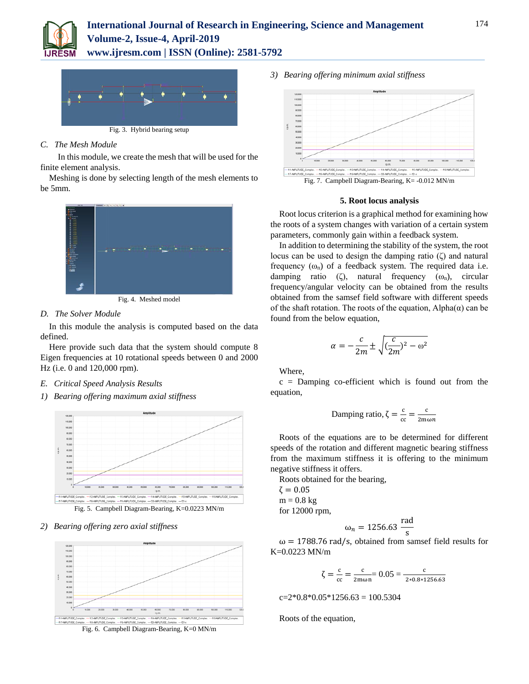



# *C. The Mesh Module*

In this module, we create the mesh that will be used for the finite element analysis.

Meshing is done by selecting length of the mesh elements to be 5mm.



Fig. 4. Meshed model

## *D. The Solver Module*

In this module the analysis is computed based on the data defined.

Here provide such data that the system should compute 8 Eigen frequencies at 10 rotational speeds between 0 and 2000 Hz (i.e. 0 and 120,000 rpm).

- *E. Critical Speed Analysis Results*
- *1) Bearing offering maximum axial stiffness*



Fig. 5. Campbell Diagram-Bearing, K=0.0223 MN/m

*2) Bearing offering zero axial stiffness*



Fig. 6. Campbell Diagram-Bearing, K=0 MN/m

*3) Bearing offering minimum axial stiffness*



## **5. Root locus analysis**

Root locus criterion is a graphical method for examining how the roots of a system changes with variation of a certain system parameters, commonly gain within a feedback system.

In addition to determining the stability of the system, the root locus can be used to design the damping ratio (ζ) and natural frequency  $(\omega_n)$  of a feedback system. The required data i.e. damping ratio (ζ), natural frequency  $(\omega_n)$ , circular frequency/angular velocity can be obtained from the results obtained from the samsef field software with different speeds of the shaft rotation. The roots of the equation,  $Alpha(\alpha)$  can be found from the below equation,

$$
\alpha = -\frac{c}{2m} \pm \sqrt{(\frac{c}{2m})^2 - \omega^2}
$$

Where,

 $c =$  Damping co-efficient which is found out from the equation,

Damping ratio, 
$$
\zeta = \frac{c}{cc} = \frac{c}{2m\omega n}
$$

Roots of the equations are to be determined for different speeds of the rotation and different magnetic bearing stiffness from the maximum stiffness it is offering to the minimum negative stiffness it offers.

Roots obtained for the bearing,

 $\zeta = 0.05$  $m = 0.8$  kg for 12000 rpm,

$$
\omega_n = 1256.63 \frac{\text{rad}}{\text{s}}
$$

 $\omega$  = 1788.76 rad/s, obtained from samsef field results for K=0.0223 MN/m

$$
\zeta = \frac{c}{cc} = \frac{c}{2m\omega n} = 0.05 = \frac{c}{2 \times 0.8 \times 1256.63}
$$

 $c=2*0.8*0.05*1256.63 = 100.5304$ 

Roots of the equation,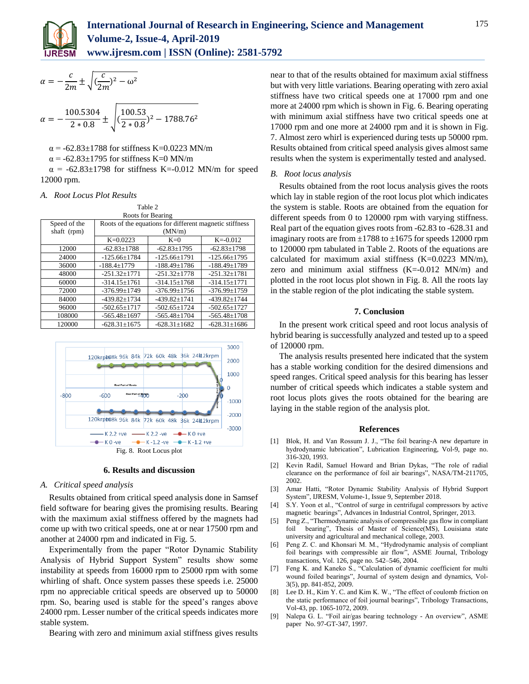

 $\alpha = -\frac{c}{2}$ 

$$
\alpha = -\frac{100.5304}{2*0.8} \pm \sqrt{(\frac{100.53}{2*0.8})^2 - 1788.76^2}
$$

α = -62.83±1788 for stiffness K=0.0223 MN/m

 $\alpha$  = -62.83±1795 for stiffness K=0 MN/m

 $\alpha$  = -62.83±1798 for stiffness K=-0.012 MN/m for speed 12000 rpm.

## *A. Root Locus Plot Results*

| Table 2           |                                                         |                    |                    |  |
|-------------------|---------------------------------------------------------|--------------------|--------------------|--|
| Roots for Bearing |                                                         |                    |                    |  |
| Speed of the      | Roots of the equations for different magnetic stiffness |                    |                    |  |
| shaft (rpm)       | (MN/m)                                                  |                    |                    |  |
|                   | $K=0.0223$                                              | $K=0$              | $K = -0.012$       |  |
| 12000             | $-62.83 \pm 1788$                                       | $-62.83 \pm 1795$  | $-62.83 \pm 1798$  |  |
| 24000             | $-125.66 \pm 1784$                                      | $-125.66 \pm 1791$ | $-125.66 \pm 1795$ |  |
| 36000             | $-188.4+1779$                                           | $-188.49+1786$     | $-188.49+1789$     |  |
| 48000             | $-251.32+1771$                                          | $-251.32+1778$     | $-251.32+1781$     |  |
| 60000             | $-314.15 \pm 1761$                                      | $-314.15+1768$     | $-314.15 \pm 1771$ |  |
| 72000             | $-376.99 + 1749$                                        | $-376.99 + 1756$   | $-376.99+1759$     |  |
| 84000             | $-439.82 \pm 1734$                                      | $-439.82 \pm 1741$ | $-439.82+1744$     |  |
| 96000             | $-502.65 \pm 1717$                                      | $-502.65 \pm 1724$ | $-502.65 \pm 1727$ |  |
| 108000            | $-565.48 \pm 1697$                                      | $-565.48 \pm 1704$ | $-565.48 \pm 1708$ |  |
| 120000            | $-628.31+1675$                                          | $-628.31 \pm 1682$ | $-628.31+1686$     |  |



#### **6. Results and discussion**

## *A. Critical speed analysis*

Results obtained from critical speed analysis done in Samsef field software for bearing gives the promising results. Bearing with the maximum axial stiffness offered by the magnets had come up with two critical speeds, one at or near 17500 rpm and another at 24000 rpm and indicated in Fig. 5.

Experimentally from the paper "Rotor Dynamic Stability Analysis of Hybrid Support System" results show some instability at speeds from 16000 rpm to 25000 rpm with some whirling of shaft. Once system passes these speeds i.e. 25000 rpm no appreciable critical speeds are observed up to 50000 rpm. So, bearing used is stable for the speed's ranges above 24000 rpm. Lesser number of the critical speeds indicates more stable system.

Bearing with zero and minimum axial stiffness gives results

near to that of the results obtained for maximum axial stiffness but with very little variations. Bearing operating with zero axial stiffness have two critical speeds one at 17000 rpm and one more at 24000 rpm which is shown in Fig. 6. Bearing operating with minimum axial stiffness have two critical speeds one at 17000 rpm and one more at 24000 rpm and it is shown in Fig. 7. Almost zero whirl is experienced during tests up 50000 rpm. Results obtained from critical speed analysis gives almost same results when the system is experimentally tested and analysed.

## *B. Root locus analysis*

Results obtained from the root locus analysis gives the roots which lay in stable region of the root locus plot which indicates the system is stable. Roots are obtained from the equation for different speeds from 0 to 120000 rpm with varying stiffness. Real part of the equation gives roots from -62.83 to -628.31 and imaginary roots are from  $\pm 1788$  to  $\pm 1675$  for speeds 12000 rpm to 120000 rpm tabulated in Table 2. Roots of the equations are calculated for maximum axial stiffness  $(K=0.0223 \text{ MN/m})$ , zero and minimum axial stiffness  $(K=-0.012 \text{ MN/m})$  and plotted in the root locus plot shown in Fig. 8. All the roots lay in the stable region of the plot indicating the stable system.

## **7. Conclusion**

In the present work critical speed and root locus analysis of hybrid bearing is successfully analyzed and tested up to a speed of 120000 rpm.

The analysis results presented here indicated that the system has a stable working condition for the desired dimensions and speed ranges. Critical speed analysis for this bearing has lesser number of critical speeds which indicates a stable system and root locus plots gives the roots obtained for the bearing are laying in the stable region of the analysis plot.

#### **References**

- [1] Blok, H. and Van Rossum J. J., "The foil bearing-A new departure in hydrodynamic lubrication", Lubrication Engineering, Vol-9, page no. 316-320, 1993.
- [2] Kevin Radil, Samuel Howard and Brian Dykas, "The role of radial clearance on the performance of foil air bearings", NASA/TM-211705, 2002.
- [3] Amar Hatti, "Rotor Dynamic Stability Analysis of Hybrid Support System", IJRESM, Volume-1, Issue 9, September 2018.
- [4] S.Y. Yoon et al., "Control of surge in centrifugal compressors by active magnetic bearings", Advances in Industrial Control, Springer, 2013.
- [5] Peng Z., "Thermodynamic analysis of compressible gas flow in compliant foil bearing", Thesis of Master of Science(MS), Louisiana state university and agricultural and mechanical college, 2003.
- [6] Peng Z. C. and Khonsari M. M., "Hydrodynamic analysis of compliant foil bearings with compressible air flow", ASME Journal, Tribology transactions, Vol. 126, page no. 542–546, 2004.
- [7] Feng K. and Kaneko S., "Calculation of dynamic coefficient for multi wound foiled bearings", Journal of system design and dynamics, Vol-3(5), pp. 841-852, 2009.
- [8] Lee D. H., Kim Y. C. and Kim K. W., "The effect of coulomb friction on the static performance of foil journal bearings", Tribology Transactions, Vol-43, pp. 1065-1072, 2009.
- [9] Nalepa G. L. "Foil air/gas bearing technology An overview", ASME paper No. 97-GT-347, 1997.